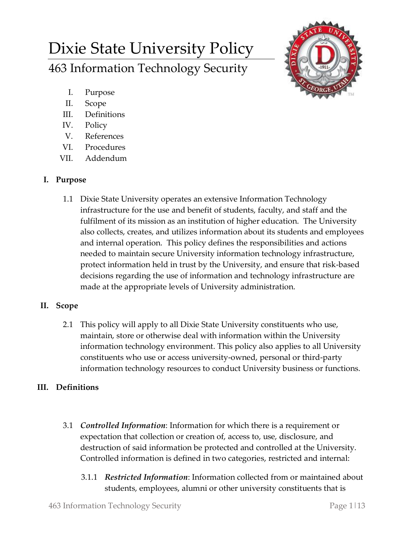# Dixie State University Policy 463 Information Technology Security



- I. Purpose
- II. Scope
- III. Definitions
- IV. Policy
- V. References
- VI. Procedures
- VII. Addendum

## **I. Purpose**

1.1 Dixie State University operates an extensive Information Technology infrastructure for the use and benefit of students, faculty, and staff and the fulfilment of its mission as an institution of higher education. The University also collects, creates, and utilizes information about its students and employees and internal operation. This policy defines the responsibilities and actions needed to maintain secure University information technology infrastructure, protect information held in trust by the University, and ensure that risk-based decisions regarding the use of information and technology infrastructure are made at the appropriate levels of University administration.

## **II. Scope**

2.1 This policy will apply to all Dixie State University constituents who use, maintain, store or otherwise deal with information within the University information technology environment. This policy also applies to all University constituents who use or access university-owned, personal or third-party information technology resources to conduct University business or functions.

## **III. Definitions**

- 3.1 *Controlled Information*: Information for which there is a requirement or expectation that collection or creation of, access to, use, disclosure, and destruction of said information be protected and controlled at the University. Controlled information is defined in two categories, restricted and internal:
	- 3.1.1 *Restricted Information*: Information collected from or maintained about students, employees, alumni or other university constituents that is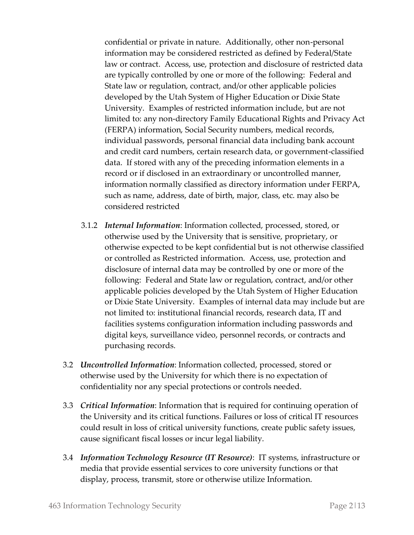confidential or private in nature. Additionally, other non-personal information may be considered restricted as defined by Federal/State law or contract. Access, use, protection and disclosure of restricted data are typically controlled by one or more of the following: Federal and State law or regulation, contract, and/or other applicable policies developed by the Utah System of Higher Education or Dixie State University. Examples of restricted information include, but are not limited to: any non-directory Family Educational Rights and Privacy Act (FERPA) information, Social Security numbers, medical records, individual passwords, personal financial data including bank account and credit card numbers, certain research data, or government-classified data. If stored with any of the preceding information elements in a record or if disclosed in an extraordinary or uncontrolled manner, information normally classified as directory information under FERPA, such as name, address, date of birth, major, class, etc. may also be considered restricted

- 3.1.2 *Internal Information*: Information collected, processed, stored, or otherwise used by the University that is sensitive, proprietary, or otherwise expected to be kept confidential but is not otherwise classified or controlled as Restricted information. Access, use, protection and disclosure of internal data may be controlled by one or more of the following: Federal and State law or regulation, contract, and/or other applicable policies developed by the Utah System of Higher Education or Dixie State University. Examples of internal data may include but are not limited to: institutional financial records, research data, IT and facilities systems configuration information including passwords and digital keys, surveillance video, personnel records, or contracts and purchasing records.
- 3.2 *Uncontrolled Information*: Information collected, processed, stored or otherwise used by the University for which there is no expectation of confidentiality nor any special protections or controls needed.
- 3.3 *Critical Information*: Information that is required for continuing operation of the University and its critical functions. Failures or loss of critical IT resources could result in loss of critical university functions, create public safety issues, cause significant fiscal losses or incur legal liability.
- 3.4 *Information Technology Resource (IT Resource)*: IT systems, infrastructure or media that provide essential services to core university functions or that display, process, transmit, store or otherwise utilize Information.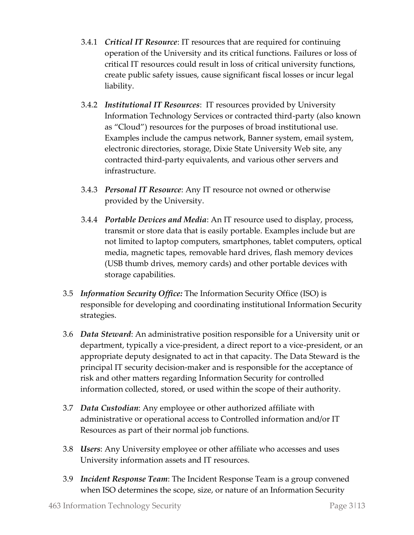- 3.4.1 *Critical IT Resource*: IT resources that are required for continuing operation of the University and its critical functions. Failures or loss of critical IT resources could result in loss of critical university functions, create public safety issues, cause significant fiscal losses or incur legal liability.
- 3.4.2 *Institutional IT Resources*: IT resources provided by University Information Technology Services or contracted third-party (also known as "Cloud") resources for the purposes of broad institutional use. Examples include the campus network, Banner system, email system, electronic directories, storage, Dixie State University Web site, any contracted third-party equivalents, and various other servers and infrastructure.
- 3.4.3 *Personal IT Resource*: Any IT resource not owned or otherwise provided by the University.
- 3.4.4 *Portable Devices and Media*: An IT resource used to display, process, transmit or store data that is easily portable. Examples include but are not limited to laptop computers, smartphones, tablet computers, optical media, magnetic tapes, removable hard drives, flash memory devices (USB thumb drives, memory cards) and other portable devices with storage capabilities.
- 3.5 *Information Security Office:* The Information Security Office (ISO) is responsible for developing and coordinating institutional Information Security strategies.
- 3.6 *Data Steward*: An administrative position responsible for a University unit or department, typically a vice-president, a direct report to a vice-president, or an appropriate deputy designated to act in that capacity. The Data Steward is the principal IT security decision-maker and is responsible for the acceptance of risk and other matters regarding Information Security for controlled information collected, stored, or used within the scope of their authority.
- 3.7 *Data Custodian*: Any employee or other authorized affiliate with administrative or operational access to Controlled information and/or IT Resources as part of their normal job functions.
- 3.8 *Users*: Any University employee or other affiliate who accesses and uses University information assets and IT resources.
- 3.9 *Incident Response Team*: The Incident Response Team is a group convened when ISO determines the scope, size, or nature of an Information Security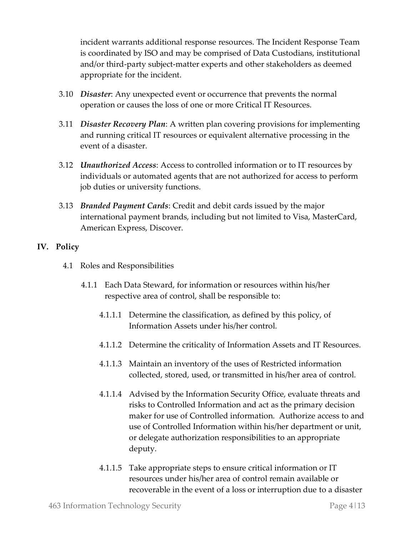incident warrants additional response resources. The Incident Response Team is coordinated by ISO and may be comprised of Data Custodians, institutional and/or third-party subject-matter experts and other stakeholders as deemed appropriate for the incident.

- 3.10 *Disaster*: Any unexpected event or occurrence that prevents the normal operation or causes the loss of one or more Critical IT Resources.
- 3.11 *Disaster Recovery Plan*: A written plan covering provisions for implementing and running critical IT resources or equivalent alternative processing in the event of a disaster.
- 3.12 *Unauthorized Access*: Access to controlled information or to IT resources by individuals or automated agents that are not authorized for access to perform job duties or university functions.
- 3.13 *Branded Payment Cards*: Credit and debit cards issued by the major international payment brands, including but not limited to Visa, MasterCard, American Express, Discover.

### **IV. Policy**

- 4.1 Roles and Responsibilities
	- 4.1.1 Each Data Steward, for information or resources within his/her respective area of control, shall be responsible to:
		- 4.1.1.1 Determine the classification, as defined by this policy, of Information Assets under his/her control.
		- 4.1.1.2 Determine the criticality of Information Assets and IT Resources.
		- 4.1.1.3 Maintain an inventory of the uses of Restricted information collected, stored, used, or transmitted in his/her area of control.
		- 4.1.1.4 Advised by the Information Security Office, evaluate threats and risks to Controlled Information and act as the primary decision maker for use of Controlled information. Authorize access to and use of Controlled Information within his/her department or unit, or delegate authorization responsibilities to an appropriate deputy.
		- 4.1.1.5 Take appropriate steps to ensure critical information or IT resources under his/her area of control remain available or recoverable in the event of a loss or interruption due to a disaster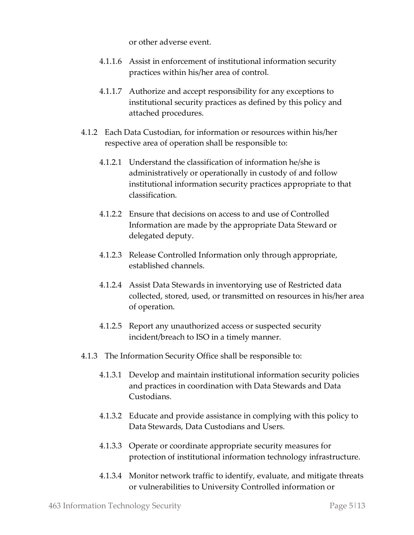or other adverse event.

- 4.1.1.6 Assist in enforcement of institutional information security practices within his/her area of control.
- 4.1.1.7 Authorize and accept responsibility for any exceptions to institutional security practices as defined by this policy and attached procedures.
- 4.1.2 Each Data Custodian, for information or resources within his/her respective area of operation shall be responsible to:
	- 4.1.2.1 Understand the classification of information he/she is administratively or operationally in custody of and follow institutional information security practices appropriate to that classification.
	- 4.1.2.2 Ensure that decisions on access to and use of Controlled Information are made by the appropriate Data Steward or delegated deputy.
	- 4.1.2.3 Release Controlled Information only through appropriate, established channels.
	- 4.1.2.4 Assist Data Stewards in inventorying use of Restricted data collected, stored, used, or transmitted on resources in his/her area of operation.
	- 4.1.2.5 Report any unauthorized access or suspected security incident/breach to ISO in a timely manner.
- 4.1.3 The Information Security Office shall be responsible to:
	- 4.1.3.1 Develop and maintain institutional information security policies and practices in coordination with Data Stewards and Data Custodians.
	- 4.1.3.2 Educate and provide assistance in complying with this policy to Data Stewards, Data Custodians and Users.
	- 4.1.3.3 Operate or coordinate appropriate security measures for protection of institutional information technology infrastructure.
	- 4.1.3.4 Monitor network traffic to identify, evaluate, and mitigate threats or vulnerabilities to University Controlled information or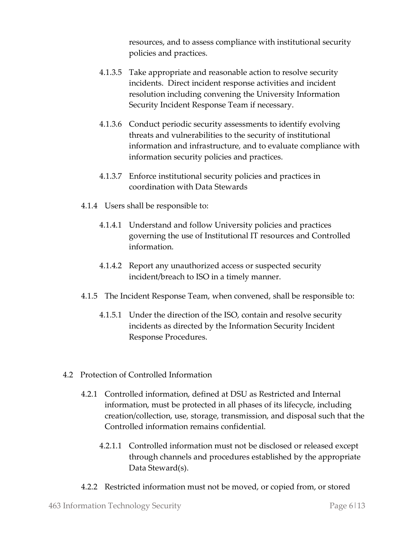resources, and to assess compliance with institutional security policies and practices.

- 4.1.3.5 Take appropriate and reasonable action to resolve security incidents. Direct incident response activities and incident resolution including convening the University Information Security Incident Response Team if necessary.
- 4.1.3.6 Conduct periodic security assessments to identify evolving threats and vulnerabilities to the security of institutional information and infrastructure, and to evaluate compliance with information security policies and practices.
- 4.1.3.7 Enforce institutional security policies and practices in coordination with Data Stewards
- 4.1.4 Users shall be responsible to:
	- 4.1.4.1 Understand and follow University policies and practices governing the use of Institutional IT resources and Controlled information.
	- 4.1.4.2 Report any unauthorized access or suspected security incident/breach to ISO in a timely manner.
- 4.1.5 The Incident Response Team, when convened, shall be responsible to:
	- 4.1.5.1 Under the direction of the ISO, contain and resolve security incidents as directed by the Information Security Incident Response Procedures.
- 4.2 Protection of Controlled Information
	- 4.2.1 Controlled information, defined at DSU as Restricted and Internal information, must be protected in all phases of its lifecycle, including creation/collection, use, storage, transmission, and disposal such that the Controlled information remains confidential.
		- 4.2.1.1 Controlled information must not be disclosed or released except through channels and procedures established by the appropriate Data Steward(s).
	- 4.2.2 Restricted information must not be moved, or copied from, or stored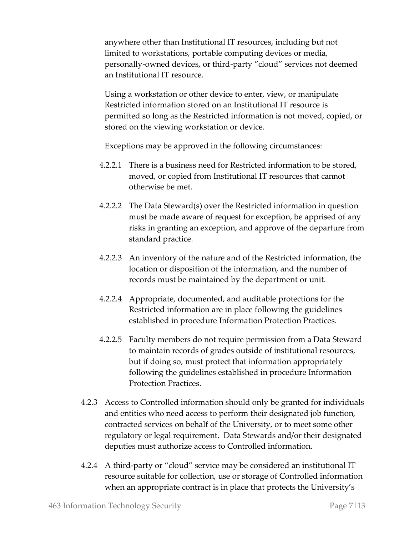anywhere other than Institutional IT resources, including but not limited to workstations, portable computing devices or media, personally-owned devices, or third-party "cloud" services not deemed an Institutional IT resource.

Using a workstation or other device to enter, view, or manipulate Restricted information stored on an Institutional IT resource is permitted so long as the Restricted information is not moved, copied, or stored on the viewing workstation or device.

Exceptions may be approved in the following circumstances:

- 4.2.2.1 There is a business need for Restricted information to be stored, moved, or copied from Institutional IT resources that cannot otherwise be met.
- 4.2.2.2 The Data Steward(s) over the Restricted information in question must be made aware of request for exception, be apprised of any risks in granting an exception, and approve of the departure from standard practice.
- 4.2.2.3 An inventory of the nature and of the Restricted information, the location or disposition of the information, and the number of records must be maintained by the department or unit.
- 4.2.2.4 Appropriate, documented, and auditable protections for the Restricted information are in place following the guidelines established in procedure Information Protection Practices.
- 4.2.2.5 Faculty members do not require permission from a Data Steward to maintain records of grades outside of institutional resources, but if doing so, must protect that information appropriately following the guidelines established in procedure Information Protection Practices.
- 4.2.3 Access to Controlled information should only be granted for individuals and entities who need access to perform their designated job function, contracted services on behalf of the University, or to meet some other regulatory or legal requirement. Data Stewards and/or their designated deputies must authorize access to Controlled information.
- 4.2.4 A third-party or "cloud" service may be considered an institutional IT resource suitable for collection, use or storage of Controlled information when an appropriate contract is in place that protects the University's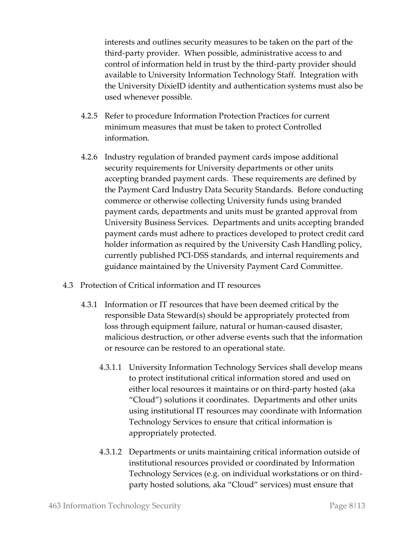interests and outlines security measures to be taken on the part of the third-party provider. When possible, administrative access to and control of information held in trust by the third-party provider should available to University Information Technology Staff. Integration with the University DixieID identity and authentication systems must also be used whenever possible.

- 4.2.5 Refer to procedure Information Protection Practices for current minimum measures that must be taken to protect Controlled information.
- 4.2.6 Industry regulation of branded payment cards impose additional security requirements for University departments or other units accepting branded payment cards. These requirements are defined by the Payment Card Industry Data Security Standards. Before conducting commerce or otherwise collecting University funds using branded payment cards, departments and units must be granted approval from University Business Services. Departments and units accepting branded payment cards must adhere to practices developed to protect credit card holder information as required by the University Cash Handling policy, currently published PCI-DSS standards, and internal requirements and guidance maintained by the University Payment Card Committee.
- 4.3 Protection of Critical information and IT resources
	- 4.3.1 Information or IT resources that have been deemed critical by the responsible Data Steward(s) should be appropriately protected from loss through equipment failure, natural or human-caused disaster, malicious destruction, or other adverse events such that the information or resource can be restored to an operational state.
		- 4.3.1.1 University Information Technology Services shall develop means to protect institutional critical information stored and used on either local resources it maintains or on third-party hosted (aka "Cloud") solutions it coordinates. Departments and other units using institutional IT resources may coordinate with Information Technology Services to ensure that critical information is appropriately protected.
		- 4.3.1.2 Departments or units maintaining critical information outside of institutional resources provided or coordinated by Information Technology Services (e.g. on individual workstations or on thirdparty hosted solutions, aka "Cloud" services) must ensure that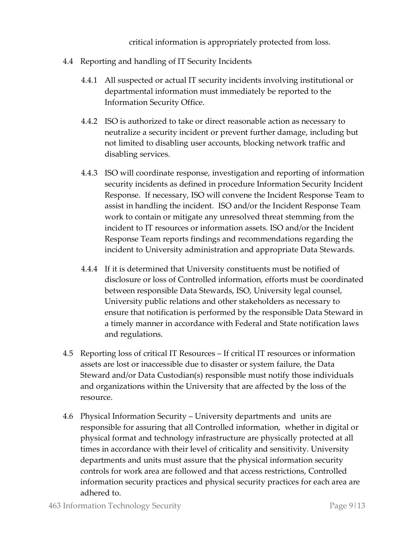critical information is appropriately protected from loss.

- 4.4 Reporting and handling of IT Security Incidents
	- 4.4.1 All suspected or actual IT security incidents involving institutional or departmental information must immediately be reported to the Information Security Office.
	- 4.4.2 ISO is authorized to take or direct reasonable action as necessary to neutralize a security incident or prevent further damage, including but not limited to disabling user accounts, blocking network traffic and disabling services.
	- 4.4.3 ISO will coordinate response, investigation and reporting of information security incidents as defined in procedure Information Security Incident Response. If necessary, ISO will convene the Incident Response Team to assist in handling the incident. ISO and/or the Incident Response Team work to contain or mitigate any unresolved threat stemming from the incident to IT resources or information assets. ISO and/or the Incident Response Team reports findings and recommendations regarding the incident to University administration and appropriate Data Stewards.
	- 4.4.4 If it is determined that University constituents must be notified of disclosure or loss of Controlled information, efforts must be coordinated between responsible Data Stewards, ISO, University legal counsel, University public relations and other stakeholders as necessary to ensure that notification is performed by the responsible Data Steward in a timely manner in accordance with Federal and State notification laws and regulations.
- 4.5 Reporting loss of critical IT Resources If critical IT resources or information assets are lost or inaccessible due to disaster or system failure, the Data Steward and/or Data Custodian(s) responsible must notify those individuals and organizations within the University that are affected by the loss of the resource.
- 4.6 Physical Information Security University departments and units are responsible for assuring that all Controlled information, whether in digital or physical format and technology infrastructure are physically protected at all times in accordance with their level of criticality and sensitivity. University departments and units must assure that the physical information security controls for work area are followed and that access restrictions, Controlled information security practices and physical security practices for each area are adhered to.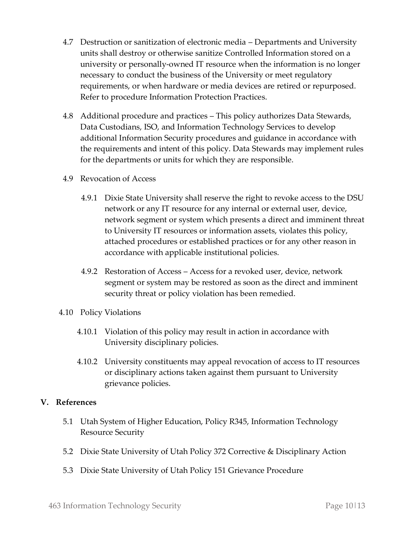- 4.7 Destruction or sanitization of electronic media Departments and University units shall destroy or otherwise sanitize Controlled Information stored on a university or personally-owned IT resource when the information is no longer necessary to conduct the business of the University or meet regulatory requirements, or when hardware or media devices are retired or repurposed. Refer to procedure Information Protection Practices.
- 4.8 Additional procedure and practices This policy authorizes Data Stewards, Data Custodians, ISO, and Information Technology Services to develop additional Information Security procedures and guidance in accordance with the requirements and intent of this policy. Data Stewards may implement rules for the departments or units for which they are responsible.
- 4.9 Revocation of Access
	- 4.9.1 Dixie State University shall reserve the right to revoke access to the DSU network or any IT resource for any internal or external user, device, network segment or system which presents a direct and imminent threat to University IT resources or information assets, violates this policy, attached procedures or established practices or for any other reason in accordance with applicable institutional policies.
	- 4.9.2 Restoration of Access Access for a revoked user, device, network segment or system may be restored as soon as the direct and imminent security threat or policy violation has been remedied.
- 4.10 Policy Violations
	- 4.10.1 Violation of this policy may result in action in accordance with University disciplinary policies.
	- 4.10.2 University constituents may appeal revocation of access to IT resources or disciplinary actions taken against them pursuant to University grievance policies.

#### **V. References**

- 5.1 Utah System of Higher Education, Policy R345, Information Technology Resource Security
- 5.2 Dixie State University of Utah Policy 372 Corrective & Disciplinary Action
- 5.3 Dixie State University of Utah Policy 151 Grievance Procedure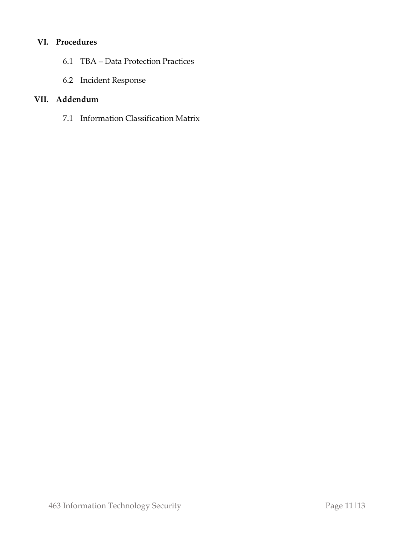## **VI. Procedures**

- 6.1 TBA Data Protection Practices
- 6.2 Incident Response

## **VII. Addendum**

7.1 Information Classification Matrix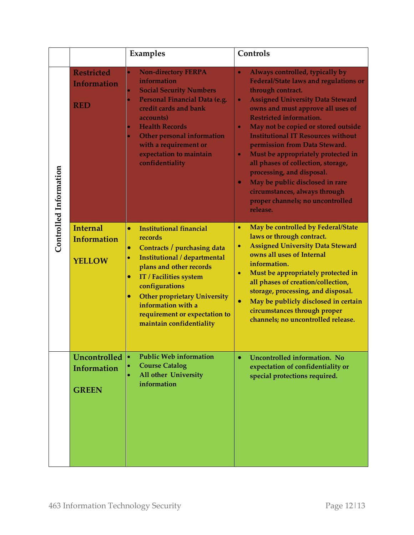|                        |                                                        | Examples                                                                                                                                                                                                                                                                                                                                                                   | Controls                                                                                                                                                                                                                                                                                                                                                                                                                                                                                                                                                                                                                                  |
|------------------------|--------------------------------------------------------|----------------------------------------------------------------------------------------------------------------------------------------------------------------------------------------------------------------------------------------------------------------------------------------------------------------------------------------------------------------------------|-------------------------------------------------------------------------------------------------------------------------------------------------------------------------------------------------------------------------------------------------------------------------------------------------------------------------------------------------------------------------------------------------------------------------------------------------------------------------------------------------------------------------------------------------------------------------------------------------------------------------------------------|
| Controlled Information | <b>Restricted</b><br><b>Information</b><br><b>RED</b>  | <b>Non-directory FERPA</b><br>۰<br>information<br><b>Social Security Numbers</b><br>۰<br>Personal Financial Data (e.g.<br>۰<br>credit cards and bank<br>accounts)<br><b>Health Records</b><br>۰<br><b>Other personal information</b><br>$\bullet$<br>with a requirement or<br>expectation to maintain<br>confidentiality                                                   | Always controlled, typically by<br>$\bullet$<br><b>Federal/State laws and regulations or</b><br>through contract.<br><b>Assigned University Data Steward</b><br>$\bullet$<br>owns and must approve all uses of<br><b>Restricted information.</b><br>May not be copied or stored outside<br>$\bullet$<br><b>Institutional IT Resources without</b><br>permission from Data Steward.<br>Must be appropriately protected in<br>$\bullet$<br>all phases of collection, storage,<br>processing, and disposal.<br>May be public disclosed in rare<br>$\bullet$<br>circumstances, always through<br>proper channels; no uncontrolled<br>release. |
|                        | <b>Internal</b><br><b>Information</b><br><b>YELLOW</b> | <b>Institutional financial</b><br>$\bullet$<br>records<br>Contracts / purchasing data<br>$\bullet$<br>Institutional / departmental<br>$\bullet$<br>plans and other records<br>IT / Facilities system<br>$\bullet$<br>configurations<br><b>Other proprietary University</b><br>$\bullet$<br>information with a<br>requirement or expectation to<br>maintain confidentiality | May be controlled by Federal/State<br>$\bullet$<br>laws or through contract.<br><b>Assigned University Data Steward</b><br>$\bullet$<br>owns all uses of Internal<br>information.<br>Must be appropriately protected in<br>$\bullet$<br>all phases of creation/collection,<br>storage, processing, and disposal.<br>May be publicly disclosed in certain<br>$\bullet$<br>circumstances through proper<br>channels; no uncontrolled release.                                                                                                                                                                                               |
|                        | <b>Uncontrolled</b><br>Information<br><b>GREEN</b>     | <b>Public Web information</b><br><b>Course Catalog</b><br><b>All other University</b><br>information                                                                                                                                                                                                                                                                       | Uncontrolled information. No<br>$\bullet$<br>expectation of confidentiality or<br>special protections required.                                                                                                                                                                                                                                                                                                                                                                                                                                                                                                                           |